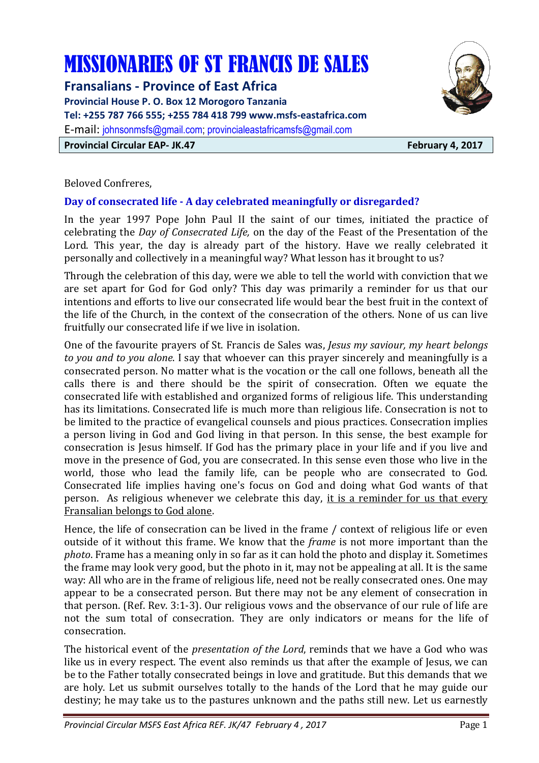# MISSIONARIES OF ST FRANCIS DE SALES

**Fransalians - Province of East Africa Provincial House P. O. Box 12 Morogoro Tanzania Tel: +255 787 766 555; +255 784 418 799 www.msfs-eastafrica.com**  E-mail: johnsonmsfs@gmail.com; provincialeastafricamsfs@gmail.com **Provincial Circular EAP- JK.47 February 4, 2017** 



Beloved Confreres,

# **Day of consecrated life - A day celebrated meaningfully or disregarded?**

In the year 1997 Pope John Paul II the saint of our times, initiated the practice of celebrating the *Day of Consecrated Life,* on the day of the Feast of the Presentation of the Lord. This year, the day is already part of the history. Have we really celebrated it personally and collectively in a meaningful way? What lesson has it brought to us?

Through the celebration of this day, were we able to tell the world with conviction that we are set apart for God for God only? This day was primarily a reminder for us that our intentions and efforts to live our consecrated life would bear the best fruit in the context of the life of the Church, in the context of the consecration of the others. None of us can live fruitfully our consecrated life if we live in isolation.

One of the favourite prayers of St. Francis de Sales was, *Jesus my saviour, my heart belongs to you and to you alone*. I say that whoever can this prayer sincerely and meaningfully is a consecrated person. No matter what is the vocation or the call one follows, beneath all the calls there is and there should be the spirit of consecration. Often we equate the consecrated life with established and organized forms of religious life. This understanding has its limitations. Consecrated life is much more than religious life. Consecration is not to be limited to the practice of evangelical counsels and pious practices. Consecration implies a person living in God and God living in that person. In this sense, the best example for consecration is Jesus himself. If God has the primary place in your life and if you live and move in the presence of God, you are consecrated. In this sense even those who live in the world, those who lead the family life, can be people who are consecrated to God. Consecrated life implies having one's focus on God and doing what God wants of that person. As religious whenever we celebrate this day, it is a reminder for us that every Fransalian belongs to God alone.

Hence, the life of consecration can be lived in the frame / context of religious life or even outside of it without this frame. We know that the *frame* is not more important than the *photo*. Frame has a meaning only in so far as it can hold the photo and display it. Sometimes the frame may look very good, but the photo in it, may not be appealing at all. It is the same way: All who are in the frame of religious life, need not be really consecrated ones. One may appear to be a consecrated person. But there may not be any element of consecration in that person. (Ref. Rev. 3:1-3). Our religious vows and the observance of our rule of life are not the sum total of consecration. They are only indicators or means for the life of consecration.

The historical event of the *presentation of the Lord*, reminds that we have a God who was like us in every respect. The event also reminds us that after the example of Jesus, we can be to the Father totally consecrated beings in love and gratitude. But this demands that we are holy. Let us submit ourselves totally to the hands of the Lord that he may guide our destiny; he may take us to the pastures unknown and the paths still new. Let us earnestly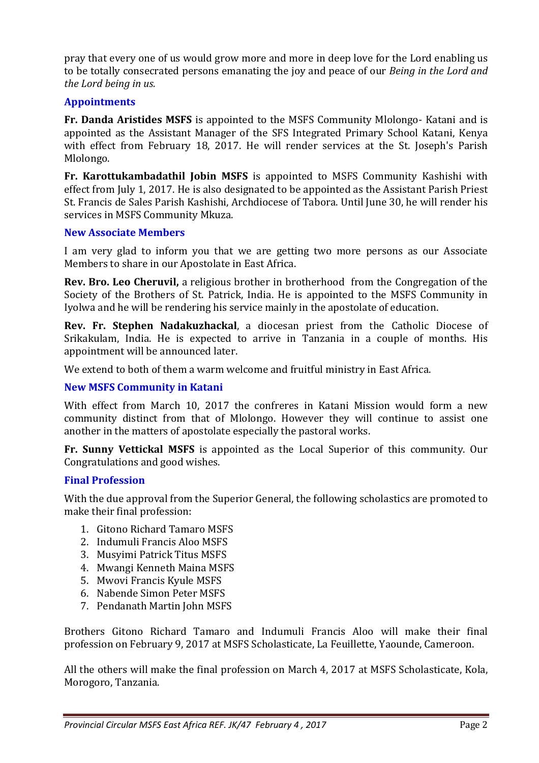pray that every one of us would grow more and more in deep love for the Lord enabling us to be totally consecrated persons emanating the joy and peace of our *Being in the Lord and the Lord being in us.* 

#### **Appointments**

**Fr. Danda Aristides MSFS** is appointed to the MSFS Community Mlolongo- Katani and is appointed as the Assistant Manager of the SFS Integrated Primary School Katani, Kenya with effect from February 18, 2017. He will render services at the St. Joseph's Parish Mlolongo.

**Fr. Karottukambadathil Jobin MSFS** is appointed to MSFS Community Kashishi with effect from July 1, 2017. He is also designated to be appointed as the Assistant Parish Priest St. Francis de Sales Parish Kashishi, Archdiocese of Tabora. Until June 30, he will render his services in MSFS Community Mkuza.

#### **New Associate Members**

I am very glad to inform you that we are getting two more persons as our Associate Members to share in our Apostolate in East Africa.

**Rev. Bro. Leo Cheruvil,** a religious brother in brotherhood from the Congregation of the Society of the Brothers of St. Patrick, India. He is appointed to the MSFS Community in Iyolwa and he will be rendering his service mainly in the apostolate of education.

**Rev. Fr. Stephen Nadakuzhackal**, a diocesan priest from the Catholic Diocese of Srikakulam, India. He is expected to arrive in Tanzania in a couple of months. His appointment will be announced later.

We extend to both of them a warm welcome and fruitful ministry in East Africa.

#### **New MSFS Community in Katani**

With effect from March 10, 2017 the confreres in Katani Mission would form a new community distinct from that of Mlolongo. However they will continue to assist one another in the matters of apostolate especially the pastoral works.

**Fr. Sunny Vettickal MSFS** is appointed as the Local Superior of this community. Our Congratulations and good wishes.

#### **Final Profession**

With the due approval from the Superior General, the following scholastics are promoted to make their final profession:

- 1. Gitono Richard Tamaro MSFS
- 2. Indumuli Francis Aloo MSFS
- 3. Musyimi Patrick Titus MSFS
- 4. Mwangi Kenneth Maina MSFS
- 5. Mwovi Francis Kyule MSFS
- 6. Nabende Simon Peter MSFS
- 7. Pendanath Martin John MSFS

Brothers Gitono Richard Tamaro and Indumuli Francis Aloo will make their final profession on February 9, 2017 at MSFS Scholasticate, La Feuillette, Yaounde, Cameroon.

All the others will make the final profession on March 4, 2017 at MSFS Scholasticate, Kola, Morogoro, Tanzania.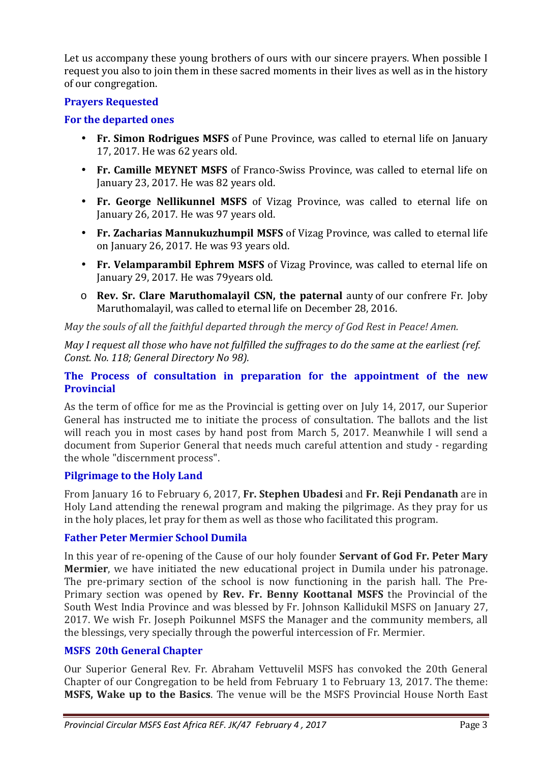Let us accompany these young brothers of ours with our sincere prayers. When possible I request you also to join them in these sacred moments in their lives as well as in the history of our congregation.

#### **Prayers Requested**

#### **For the departed ones**

- **Fr. Simon Rodrigues MSFS** of Pune Province, was called to eternal life on January 17, 2017. He was 62 years old.
- **Fr. Camille MEYNET MSFS** of Franco-Swiss Province, was called to eternal life on January 23, 2017. He was 82 years old.
- **Fr. George Nellikunnel MSFS** of Vizag Province, was called to eternal life on January 26, 2017. He was 97 years old.
- **Fr. Zacharias Mannukuzhumpil MSFS** of Vizag Province, was called to eternal life on January 26, 2017. He was 93 years old.
- **Fr. Velamparambil Ephrem MSFS** of Vizag Province, was called to eternal life on January 29, 2017. He was 79years old.
- o **Rev. Sr. Clare Maruthomalayil CSN, the paternal** aunty of our confrere Fr. Joby Maruthomalayil, was called to eternal life on December 28, 2016.

*May the souls of all the faithful departed through the mercy of God Rest in Peace! Amen.* 

*May I request all those who have not fulfilled the suffrages to do the same at the earliest (ref. Const. No. 118; General Directory No 98).* 

#### **The Process of consultation in preparation for the appointment of the new Provincial**

As the term of office for me as the Provincial is getting over on July 14, 2017, our Superior General has instructed me to initiate the process of consultation. The ballots and the list will reach you in most cases by hand post from March 5, 2017. Meanwhile I will send a document from Superior General that needs much careful attention and study - regarding the whole "discernment process".

# **Pilgrimage to the Holy Land**

From January 16 to February 6, 2017, **Fr. Stephen Ubadesi** and **Fr. Reji Pendanath** are in Holy Land attending the renewal program and making the pilgrimage. As they pray for us in the holy places, let pray for them as well as those who facilitated this program.

# **Father Peter Mermier School Dumila**

In this year of re-opening of the Cause of our holy founder **Servant of God Fr. Peter Mary Mermier**, we have initiated the new educational project in Dumila under his patronage. The pre-primary section of the school is now functioning in the parish hall. The Pre-Primary section was opened by **Rev. Fr. Benny Koottanal MSFS** the Provincial of the South West India Province and was blessed by Fr. Johnson Kallidukil MSFS on January 27, 2017. We wish Fr. Joseph Poikunnel MSFS the Manager and the community members, all the blessings, very specially through the powerful intercession of Fr. Mermier.

# **MSFS 20th General Chapter**

Our Superior General Rev. Fr. Abraham Vettuvelil MSFS has convoked the 20th General Chapter of our Congregation to be held from February 1 to February 13, 2017. The theme: **MSFS, Wake up to the Basics**. The venue will be the MSFS Provincial House North East